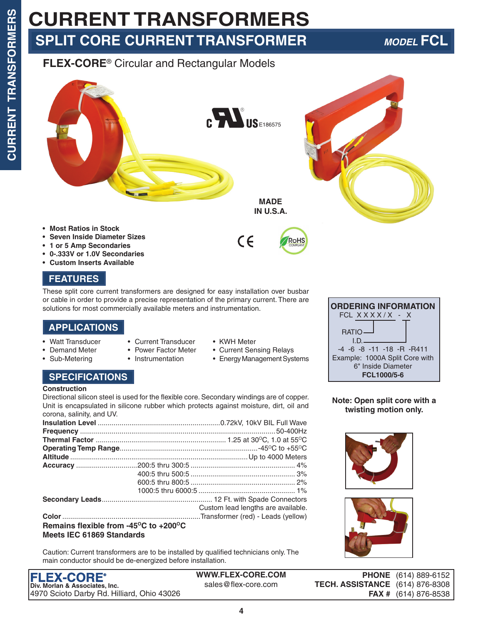## **CURRENT TRANSFORMERS SPLIT CORE CURRENT TRANSFORMER** *MODEL* **FCL**

### **FLEX-CORE**® Circular and Rectangular Models



- **• 1 or 5 Amp Secondaries**
- **• 0-.333V or 1.0V Secondaries**
- **• Custom Inserts Available**

### **FEATURES**

These split core current transformers are designed for easy installation over busbar or cable in order to provide a precise representation of the primary current. There are solutions for most commercially available meters and instrumentation.

### **APPLICATIONS**

- Watt Transducer Current Transducer KWH Meter
- 
- 
- 
- Demand Meter Power Factor Meter Current Sensing Relays
- Sub-Metering Instrumentation Energy Management Systems

### **SPECIFICATIONS**

### **Construction**

Directional silicon steel is used for the flexible core. Secondary windings are of copper. Unit is encapsulated in silicone rubber which protects against moisture, dirt, oil and corona, salinity, and UV.

|                                                                             | Custom lead lengths are available. |
|-----------------------------------------------------------------------------|------------------------------------|
|                                                                             |                                    |
| Remains flexible from -45 $\mathrm{^{\circ}C}$ to +200 $\mathrm{^{\circ}C}$ |                                    |

### **Meets IEC 61869 Standards**

Caution: Current transformers are to be installed by qualified technicians only. The main conductor should be de-energized before installation.

| <b>FLEX-CORE®</b>                          |
|--------------------------------------------|
| Div. Morlan & Associates, Inc.             |
| 4970 Scioto Darby Rd. Hilliard, Ohio 43026 |

**WWW.FLEX-CORE.COM** sales@flex-core.com

| <b>ORDERING INFORMATION</b>                                         |  |  |  |  |  |  |  |  |
|---------------------------------------------------------------------|--|--|--|--|--|--|--|--|
| FCL XXXX/X - X                                                      |  |  |  |  |  |  |  |  |
| <b>RATIO-</b><br>ID.                                                |  |  |  |  |  |  |  |  |
| $-4$ $-6$ $-8$ $-11$ $-18$ $-8$ $-8411$                             |  |  |  |  |  |  |  |  |
| Example: 1000A Split Core with<br>6" Inside Diameter<br>FCL1000/5-6 |  |  |  |  |  |  |  |  |

**Note: Open split core with a twisting motion only.**



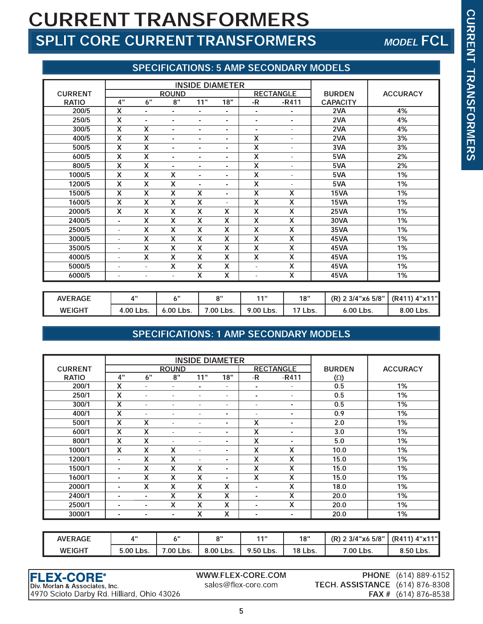## **CURRENT TRANSFORMERS** SPLIT CORE CURRENT TRANSFORMERS

## **MODEL FCL**

### **SPECIFICATIONS: 5 AMP SECONDARY MODELS**

|                |                         |                           |                           | <b>INSIDE DIAMETER</b>   |                           |                           |                           |                 |                 |
|----------------|-------------------------|---------------------------|---------------------------|--------------------------|---------------------------|---------------------------|---------------------------|-----------------|-----------------|
| <b>CURRENT</b> |                         |                           | <b>ROUND</b>              |                          |                           |                           | <b>RECTANGLE</b>          | <b>BURDEN</b>   | <b>ACCURACY</b> |
| <b>RATIO</b>   | 4"                      | 6"                        | 8"                        | 11"                      | 18"                       | -R                        | $-R411$                   | <b>CAPACITY</b> |                 |
| 200/5          | X                       | $\blacksquare$            | ٠                         | ٠                        | ٠                         | $\blacksquare$            | -                         | 2VA             | 4%              |
| 250/5          | X                       | ٠                         | ٠                         | ٠                        | $\overline{\phantom{a}}$  | ۰                         | ۰                         | 2VA             | 4%              |
| 300/5          | $\overline{\mathsf{x}}$ | $\overline{\mathsf{x}}$   | ٠                         | ٠                        | $\overline{\phantom{a}}$  | $\blacksquare$            | ۰                         | 2VA             | 4%              |
| 400/5          | X                       | X                         | ۰                         | ٠                        | $\overline{\phantom{a}}$  | $\overline{\mathsf{x}}$   | ۰                         | 2VA             | 3%              |
| 500/5          | X                       | X                         | $\overline{\phantom{a}}$  | ٠                        | $\overline{\phantom{a}}$  | X                         | ٠                         | 3VA             | 3%              |
| 600/5          | $\overline{\mathsf{x}}$ | $\overline{\mathsf{x}}$   | ۰                         | ٠                        | $\overline{\phantom{a}}$  | X                         | $\sim$                    | 5VA             | 2%              |
| 800/5          | X                       | X                         | $\overline{\phantom{a}}$  | ۰                        | ۰                         | X                         | ٠                         | 5VA             | 2%              |
| 1000/5         | X                       | $\boldsymbol{\mathsf{x}}$ | X                         | $\overline{\phantom{0}}$ | $\blacksquare$            | $\boldsymbol{\mathsf{X}}$ | ٠                         | 5VA             | 1%              |
| 1200/5         | X                       | $\boldsymbol{\mathsf{x}}$ | X                         | $\blacksquare$           | ٠                         | $\boldsymbol{\mathsf{x}}$ | ٠                         | 5VA             | 1%              |
| 1500/5         | X                       | $\boldsymbol{\mathsf{X}}$ | X                         | X                        | ٠                         | $\overline{\mathsf{x}}$   | X                         | 15VA            | 1%              |
| 1600/5         | X                       | $\boldsymbol{\mathsf{x}}$ | X                         | X                        | ۰                         | X                         | X                         | 15VA            | 1%              |
| 2000/5         | X                       | $\boldsymbol{\mathsf{x}}$ | X                         | $\overline{\mathsf{x}}$  | $\boldsymbol{\mathsf{X}}$ | X                         | $\boldsymbol{\mathsf{x}}$ | <b>25VA</b>     | 1%              |
| 2400/5         | $\sim$                  | $\boldsymbol{\mathsf{x}}$ | X                         | X                        | $\overline{\mathsf{x}}$   | X                         | $\overline{\mathsf{x}}$   | 30VA            | 1%              |
| 2500/5         | ٠                       | X                         | X                         | X                        | X                         | X                         | X                         | 35VA            | 1%              |
| 3000/5         | ٠                       | $\boldsymbol{\mathsf{x}}$ | X                         | $\overline{x}$           | $\overline{x}$            | X                         | X                         | 45VA            | 1%              |
| 3500/5         | ٠                       | X                         | X                         | X                        | $\boldsymbol{\mathsf{x}}$ | X                         | X                         | 45VA            | 1%              |
| 4000/5         | ٠                       | $\boldsymbol{\mathsf{x}}$ | $\boldsymbol{\mathsf{X}}$ | X                        | $\boldsymbol{\mathsf{X}}$ | X                         | X                         | 45VA            | 1%              |
| 5000/5         | ٠                       | $\blacksquare$            | X                         | X                        | $\boldsymbol{\mathsf{X}}$ | ٠                         | X                         | 45VA            | 1%              |
| 6000/5         | $\blacksquare$          | $\overline{a}$            | ٠                         | $\overline{\mathsf{x}}$  | $\boldsymbol{\mathsf{X}}$ | $\blacksquare$            | X                         | 45VA            | 1%              |

| <b>AVERAGE</b> | $\mathbf{A}^{\mathbf{H}}$ | , 11           | 0"        | 448       | 18"  | : 3/4"x6 5/8"<br>(R) 2 | $(R411)$ 4"x11" |
|----------------|---------------------------|----------------|-----------|-----------|------|------------------------|-----------------|
| <b>WEIGHT</b>  | 4.00<br>Lbs.              | 6.00'<br>`Lbs. | '.00 Lbs. | 9.00 Lbs. | Lbs. | 6.00 Lbs.              | 8.00<br>`Lbs.   |

### SPECIFICATIONS: 1 AMP SECONDARY MODELS

|                |                           |                          |                          | <b>INSIDE DIAMETER</b> |                           |                          |                          |               |                 |
|----------------|---------------------------|--------------------------|--------------------------|------------------------|---------------------------|--------------------------|--------------------------|---------------|-----------------|
| <b>CURRENT</b> |                           |                          | <b>ROUND</b>             |                        |                           |                          | <b>RECTANGLE</b>         | <b>BURDEN</b> | <b>ACCURACY</b> |
| <b>RATIO</b>   | 4"                        | 6"                       | 8"                       | 11"                    | 18"                       | -R                       | $-R411$                  | $(\Omega)$    |                 |
| 200/1          | X                         | ٠                        | ۰.                       | $\blacksquare$         | ۰                         | $\blacksquare$           | $\blacksquare$           | 0.5           | 1%              |
| 250/1          | X                         | ۰                        | ٠                        | ۰                      | ٠                         | ٠                        | $\blacksquare$           | 0.5           | 1%              |
| 300/1          | $\overline{\mathsf{x}}$   | ۰                        | ٠                        | ٠                      | ۰                         | ۰                        | $\blacksquare$           | 0.5           | 1%              |
| 400/1          | X                         | ۰                        | ٠                        | ٠                      | ۰                         | ۰                        | $\blacksquare$           | 0.9           | 1%              |
| 500/1          | X                         | X                        | ٠                        | ٠                      | ۰                         | X                        | $\overline{\phantom{a}}$ | 2.0           | 1%              |
| 600/1          | X                         | X                        | ٠                        | ٠                      | ۰                         | X                        | $\blacksquare$           | 3.0           | 1%              |
| 800/1          | X                         | X                        | ٠                        | ٠                      | ۰                         | Χ                        | ۰.                       | 5.0           | 1%              |
| 1000/1         | $\boldsymbol{\mathsf{x}}$ | X                        | X                        | ٠                      | $\overline{\phantom{0}}$  | X                        | X                        | 10.0          | 1%              |
| 1200/1         | $\blacksquare$            | x                        | X                        | ٠                      | $\blacksquare$            | X                        | X                        | 15.0          | 1%              |
| 1500/1         | ۰                         | X                        | X                        | X                      | $\overline{\phantom{0}}$  | X                        | X                        | 15.0          | 1%              |
| 1600/1         | $\blacksquare$            | X                        | X                        | X                      | $\blacksquare$            | X                        | X                        | 15.0          | 1%              |
| 2000/1         | $\blacksquare$            | X                        | X                        | X                      | X                         | ä,                       | X                        | 18.0          | 1%              |
| 2400/1         | $\blacksquare$            | $\overline{\phantom{0}}$ | X                        | X                      | $\boldsymbol{\mathsf{X}}$ | -                        | X                        | 20.0          | 1%              |
| 2500/1         | $\blacksquare$            | $\blacksquare$           | X                        | X                      | $\boldsymbol{\mathsf{X}}$ | $\blacksquare$           | X                        | 20.0          | 1%              |
| 3000/1         | ۰                         | $\blacksquare$           | $\overline{\phantom{a}}$ | X                      | X                         | $\overline{\phantom{0}}$ | $\blacksquare$           | 20.0          | 1%              |

| <b>AVERAGE</b> | $\Lambda$ "  | , ,,      | יים       | 448.      | 18"            | : 3/4"x6 5/8" | (R411) 4"x11" |
|----------------|--------------|-----------|-----------|-----------|----------------|---------------|---------------|
| <b>WEIGHT</b>  | 5.00<br>Lbs. | '.00 Lbs. | 8.00 Lbs. | 9.50 Lbs. | <b>18 Lbs.</b> | '.00<br>Lbs.  | 8.50 Lbs.     |

**FLEX-CORE<sup>®</sup>**<br>Div. Morlan & Associates, Inc. 4970 Scioto Darby Rd. Hilliard, Ohio 43026 WWW.FLEX-CORE.COM sales@flex-core.com

PHONE (614) 889-6152 **TECH. ASSISTANCE** (614) 876-8308 FAX # (614) 876-8538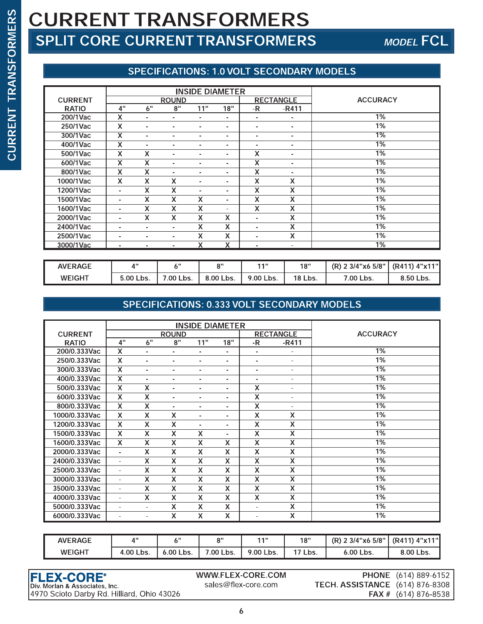# CURRENT TRANSFORMERS SPLIT CORE SPLIT CORE CURRENT TRANSFORMERS MODEL FCL

### SPECIFICATIONS: 1.0 VOLT SECONDARY MODELS

| <b>TRANSFORMERS</b> | <b>CURRENT TRANSFORMERS</b>            |                                                                              |                           |                           |                           |                         |                         |                           |                                                  |  |  |
|---------------------|----------------------------------------|------------------------------------------------------------------------------|---------------------------|---------------------------|---------------------------|-------------------------|-------------------------|---------------------------|--------------------------------------------------|--|--|
|                     | <b>SPLIT CORE CURRENT TRANSFORMERS</b> |                                                                              |                           |                           |                           |                         |                         |                           | <b>MODEL FC</b>                                  |  |  |
|                     |                                        |                                                                              |                           |                           |                           |                         |                         |                           |                                                  |  |  |
|                     |                                        |                                                                              |                           |                           |                           |                         |                         |                           | <b>SPECIFICATIONS: 1.0 VOLT SECONDARY MODELS</b> |  |  |
|                     |                                        |                                                                              |                           |                           |                           |                         |                         |                           |                                                  |  |  |
|                     |                                        | <b>INSIDE DIAMETER</b><br><b>ROUND</b><br><b>RECTANGLE</b><br><b>CURRENT</b> |                           |                           |                           |                         |                         |                           | <b>ACCURACY</b>                                  |  |  |
|                     | <b>RATIO</b>                           | 4"                                                                           | 6"                        | 8"                        | 11"                       | 18"                     | $-R$                    | $-R411$                   |                                                  |  |  |
|                     | 200/1Vac                               | $\overline{\mathsf{x}}$                                                      | $\sim$                    | $\blacksquare$            | $\sim$                    | $\sim$                  | $\sim$                  | $\sim$                    | $1\%$                                            |  |  |
|                     | 250/1Vac                               | $\mathsf{X}$                                                                 | ×.                        | ÷.                        | $\sim$                    | $\sim$                  | $\sim$                  | $\sim$                    | $1\%$                                            |  |  |
|                     | 300/1Vac                               | $\overline{\mathsf{x}}$                                                      | $\sim$                    | $\sim$                    | $\sim$                    | $\blacksquare$          | $\sim$                  | $\sim$                    | 1%                                               |  |  |
|                     | 400/1Vac                               | $\overline{\mathsf{x}}$                                                      | $\sim$                    | $\blacksquare$            | $\sim$                    | $\sim$                  | $\sim$                  | $\blacksquare$            | 1%                                               |  |  |
|                     | 500/1Vac                               | $\overline{\mathsf{x}}$                                                      | $\boldsymbol{\mathsf{X}}$ | $\sim$                    | ÷.                        | $\blacksquare$          | X                       | $\blacksquare$            | $\overline{1\%}$                                 |  |  |
|                     | 600/1Vac                               | $\overline{\mathsf{x}}$                                                      | $\overline{\mathsf{x}}$   | $\sim$                    | $\sim$                    | $\blacksquare$          | $\overline{\mathsf{x}}$ | $\blacksquare$            | 1%                                               |  |  |
|                     | 800/1Vac                               | X                                                                            | $\boldsymbol{\mathsf{X}}$ | $\sim$                    | $\sim$                    | $\blacksquare$          | X                       | $\sim$                    | 1%                                               |  |  |
|                     | 1000/1Vac                              | X                                                                            | $\boldsymbol{\mathsf{X}}$ | X                         | $\sim$                    | $\blacksquare$          | X                       | X                         | 1%                                               |  |  |
|                     | 1200/1Vac                              | $\sim$                                                                       | $\overline{\mathsf{x}}$   | X                         | $\overline{\phantom{a}}$  | $\blacksquare$          | $\overline{\mathsf{x}}$ | $\overline{\mathsf{x}}$   | $1\%$                                            |  |  |
|                     | 1500/1Vac                              | $\blacksquare$                                                               | $\overline{\mathsf{x}}$   | X                         | $\boldsymbol{\mathsf{X}}$ | $\blacksquare$          | $\overline{\mathsf{x}}$ | $\overline{\mathsf{x}}$   | 1%                                               |  |  |
|                     | 1600/1Vac                              | $\overline{a}$                                                               | $\boldsymbol{\mathsf{X}}$ | X                         | $\mathsf{X}$              | $\sim$                  | $\overline{\mathsf{x}}$ | $\overline{\mathsf{x}}$   | $1\%$                                            |  |  |
|                     | 2000/1Vac                              | $\blacksquare$                                                               | $\mathsf{x}$              | $\boldsymbol{\mathsf{X}}$ | $\mathsf{X}$              | $\mathsf{X}$            | $\sim$                  | $\boldsymbol{\mathsf{X}}$ | 1%                                               |  |  |
|                     | 2400/1Vac                              | $\blacksquare$                                                               | $\sim$                    | $\blacksquare$            | $\mathsf{X}$              | $\overline{X}$          | $\sim$                  | X.                        | $\overline{1\%}$                                 |  |  |
|                     | 2500/1Vac                              | $\blacksquare$                                                               | $\blacksquare$            | $\blacksquare$            | $\boldsymbol{\mathsf{X}}$ | $\mathsf X$             | $\sim$                  | X                         | 1%                                               |  |  |
|                     | 3000/1Vac                              | $\overline{a}$                                                               |                           |                           | $\overline{\mathbf{x}}$   | $\overline{\mathsf{x}}$ | ÷.                      | ×                         | 1%                                               |  |  |
|                     |                                        |                                                                              |                           |                           |                           |                         |                         |                           |                                                  |  |  |

| AVERAGE       | $\overline{A}$ ii | $\epsilon$ 11 | 0"        | 448       | 18"     | $(R)$ 2 3/4"x6 5/8" | (R411) 4"x11" <b> </b> |
|---------------|-------------------|---------------|-----------|-----------|---------|---------------------|------------------------|
| <b>WEIGHT</b> | 5.00 Lbs.         | 7.00 Lbs.     | 8.00 Lbs. | 9.00 Lbs. | 18 Lbs. | 7.00 Lbs.           | 8.50 Lbs.              |

### SPECIFICATIONS: 0.333 VOLT SECONDARY MODELS

|                |                           |                           |                          | <b>INSIDE DIAMETER</b>  |                           |                           |                           |                 |
|----------------|---------------------------|---------------------------|--------------------------|-------------------------|---------------------------|---------------------------|---------------------------|-----------------|
| <b>CURRENT</b> |                           |                           | <b>ROUND</b>             |                         |                           |                           | <b>RECTANGLE</b>          | <b>ACCURACY</b> |
| <b>RATIO</b>   | 4"                        | 6"                        | 8"                       | 11"                     | 18"                       | -R                        | $-R411$                   |                 |
| 200/0.333Vac   | X                         |                           | $\blacksquare$           | $\blacksquare$          | $\blacksquare$            | $\overline{\phantom{a}}$  | ٠                         | 1%              |
| 250/0.333Vac   | X                         | ۰                         | -                        | $\blacksquare$          | $\overline{\phantom{a}}$  | ۰                         | ٠                         | 1%              |
| 300/0.333Vac   | $\overline{\textsf{x}}$   | $\overline{\phantom{0}}$  | $\overline{\phantom{0}}$ | $\blacksquare$          | ٠                         | ۰                         | ۰.                        | $1\%$           |
| 400/0.333Vac   | $\overline{\mathsf{x}}$   | $\blacksquare$            | $\overline{\phantom{0}}$ | $\blacksquare$          | $\blacksquare$            | ٠                         | ×.                        | $1\%$           |
| 500/0.333Vac   | $\boldsymbol{\mathsf{X}}$ | X                         | $\blacksquare$           | $\blacksquare$          | $\blacksquare$            | X                         | ٠                         | $1\%$           |
| 600/0.333Vac   | $\overline{\mathsf{x}}$   | $\overline{\mathsf{x}}$   | -                        | $\blacksquare$          | $\blacksquare$            | $\overline{\mathsf{x}}$   | ٠                         | $1\%$           |
| 800/0.333Vac   | X                         | X                         | $\blacksquare$           | $\blacksquare$          | $\blacksquare$            | $\overline{\mathsf{x}}$   | ٠                         | 1%              |
| 1000/0.333Vac  | X                         | X                         | X                        | $\blacksquare$          | $\blacksquare$            | X                         | $\boldsymbol{\mathsf{X}}$ | 1%              |
| 1200/0.333Vac  | X                         | $\boldsymbol{\mathsf{X}}$ | X                        | ٠                       | $\blacksquare$            | X                         | $\boldsymbol{\mathsf{X}}$ | 1%              |
| 1500/0.333Vac  | X                         | X                         | X                        | X                       | ٠                         | X                         | X                         | $1\%$           |
| 1600/0.333Vac  | X                         | X                         | X                        | X                       | X                         | X                         | X                         | $1\%$           |
| 2000/0.333Vac  | $\blacksquare$            | X                         | X                        | X                       | $\boldsymbol{\mathsf{X}}$ | $\boldsymbol{\mathsf{X}}$ | $\boldsymbol{\mathsf{X}}$ | 1%              |
| 2400/0.333Vac  | $\blacksquare$            | X                         | $\overline{\mathsf{x}}$  | X                       | $\overline{\mathsf{x}}$   | $\overline{\mathsf{x}}$   | $\overline{\mathsf{x}}$   | $1\%$           |
| 2500/0.333Vac  | $\blacksquare$            | X                         | X                        | X                       | X                         | X                         | X                         | 1%              |
| 3000/0.333Vac  | $\blacksquare$            | X                         | X                        | $\overline{\mathsf{x}}$ | $\boldsymbol{\mathsf{X}}$ | X                         | X                         | 1%              |
| 3500/0.333Vac  | $\blacksquare$            | X                         | X                        | X                       | X                         | X                         | X                         | 1%              |
| 4000/0.333Vac  | $\blacksquare$            | X                         | X                        | X                       | X                         | X                         | X                         | 1%              |
| 5000/0.333Vac  | $\blacksquare$            | $\overline{\phantom{a}}$  | X                        | X                       | $\boldsymbol{\mathsf{X}}$ | $\overline{\phantom{a}}$  | $\boldsymbol{\mathsf{x}}$ | 1%              |
| 6000/0.333Vac  | $\blacksquare$            | $\blacksquare$            | X                        | X                       | $\boldsymbol{\mathsf{X}}$ | $\blacksquare$            | X                         | $1\%$           |

|  | 6000/0.333Vac                              |           | X.        | x<br>x    |                     | x       | 1%                              |                        |  |  |
|--|--------------------------------------------|-----------|-----------|-----------|---------------------|---------|---------------------------------|------------------------|--|--|
|  |                                            |           |           |           |                     |         |                                 |                        |  |  |
|  | <b>AVERAGE</b>                             | 4"        | 6"        | 8"        | 11"                 | 18"     | (R) 2 3/4"x6 5/8"               | (R411) 4"x11"          |  |  |
|  | <b>WEIGHT</b>                              | 4.00 Lbs. | 6.00 Lbs. | 7.00 Lbs. | 9.00 Lbs.           | 17 Lbs. | 6.00 Lbs.                       | 8.00 Lbs.              |  |  |
|  |                                            |           |           |           |                     |         |                                 |                        |  |  |
|  | <b>FLEX-CORE®</b>                          |           |           |           | WWW.FLEX-CORE.COM   |         | <b>PHONE</b>                    | $(614)$ 889-6152       |  |  |
|  | Div. Morlan & Associates, Inc.             |           |           |           | sales@flex-core.com |         | TECH. ASSISTANCE (614) 876-8308 |                        |  |  |
|  | 4970 Scioto Darby Rd. Hilliard, Ohio 43026 |           |           |           |                     |         |                                 | FAX # $(614)$ 876-8538 |  |  |
|  |                                            |           |           |           |                     |         |                                 |                        |  |  |
|  |                                            |           |           | 6         |                     |         |                                 |                        |  |  |
|  |                                            |           |           |           |                     |         |                                 |                        |  |  |